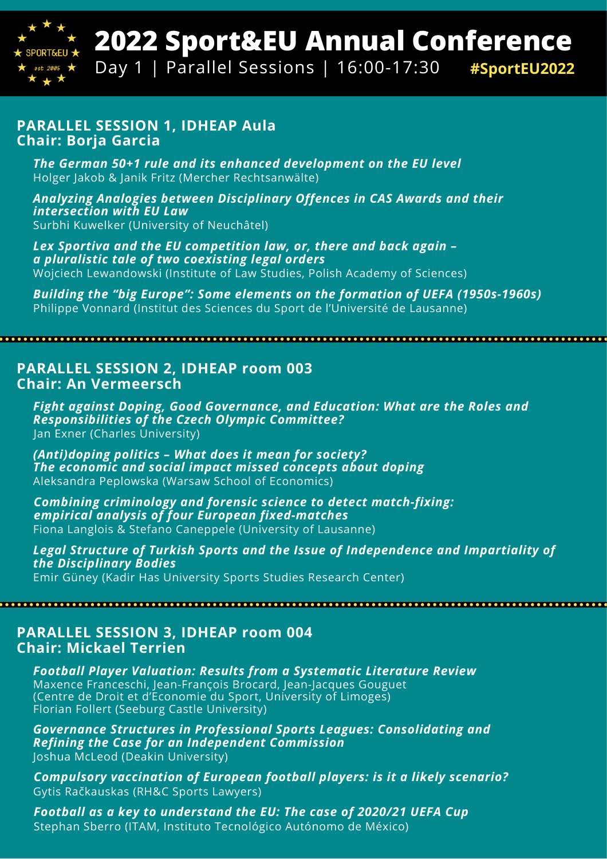

# **2022 Sport&EU Annual Conference**

Day 1 | Parallel Sessions | 16:00-17:30 **#SportEU2022**

#### **PARALLEL SESSION 1, IDHEAP Aula Chair: Borja Garcia**

*The German 50+1 rule and its enhanced development on the EU level* Holger Jakob & Janik Fritz (Mercher Rechtsanwälte)

*Analyzing Analogies between Disciplinary Offences in CAS Awards and their intersection with EU Law* Surbhi Kuwelker (University of Neuchâtel)

*Lex Sportiva and the EU competition law, or, there and back again – a pluralistic tale of two coexisting legal orders* Wojciech Lewandowski (Institute of Law Studies, Polish Academy of Sciences)

*Building the "big Europe": Some elements on the formation of UEFA (1950s-1960s)* Philippe Vonnard (Institut des Sciences du Sport de l'Université de Lausanne)

**PARALLEL SESSION 2, IDHEAP room 003 Chair: An Vermeersch**

*Fight against Doping, Good Governance, and Education: What are the Roles and Responsibilities of the Czech Olympic Committee?* Jan Exner (Charles University)

*(Anti)doping politics – What does it mean for society? The economic and social impact missed concepts about doping* Aleksandra Peplowska (Warsaw School of Economics)

*Combining criminology and forensic science to detect match-fixing: empirical analysis of four European fixed-matches* Fiona Langlois & Stefano Caneppele (University of Lausanne)

*Legal Structure of Turkish Sports and the Issue of Independence and Impartiality of the Disciplinary Bodies* Emir Güney (Kadir Has University Sports Studies Research Center)

#### **PARALLEL SESSION 3, IDHEAP room 004 Chair: Mickael Terrien**

*Football Player Valuation: Results from a Systematic Literature Review* Maxence Franceschi, Jean-François Brocard, Jean-Jacques Gouguet (Centre de Droit et d'Economie du Sport, University of Limoges) Florian Follert (Seeburg Castle University)

*Governance Structures in Professional Sports Leagues: Consolidating and Refining the Case for an Independent Commission* Joshua McLeod (Deakin University)

*Compulsory vaccination of European football players: is it a likely scenario?* Gytis Račkauskas (RH&C Sports Lawyers)

*Football as a key to understand the EU: The case of 2020/21 UEFA Cup* Stephan Sberro (ITAM, Instituto Tecnológico Autónomo de México)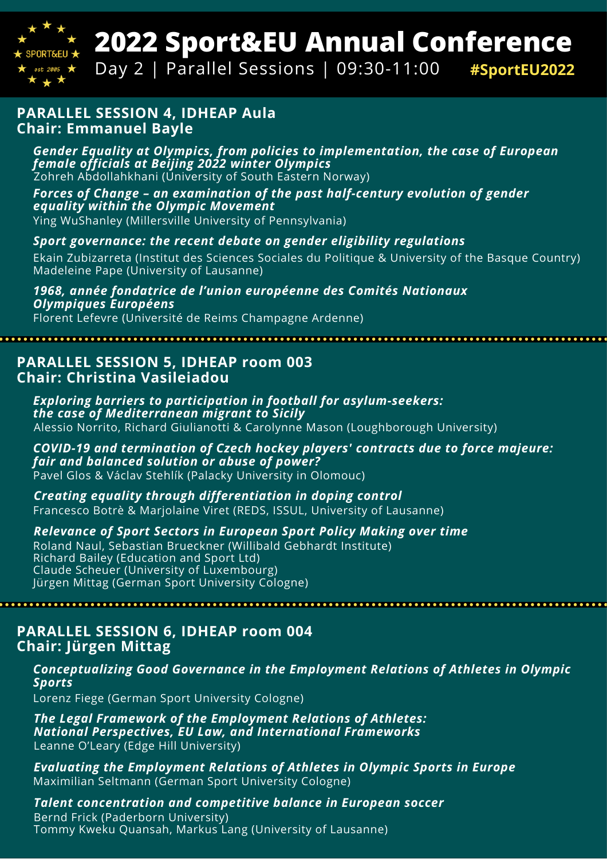

# **2022 Sport&EU Annual Conference**

Day 2 | Parallel Sessions | 09:30-11:00 **#SportEU2022**

#### **PARALLEL SESSION 4, IDHEAP Aula Chair: Emmanuel Bayle**

*Gender Equality at Olympics, from policies to implementation, the case of European female officials at Beijing 2022 winter Olympics* Zohreh Abdollahkhani (University of South Eastern Norway)

*Forces of Change – an examination of the past half-century evolution of gender equality within the Olympic Movement* Ying WuShanley (Millersville University of Pennsylvania)

#### *Sport governance: the recent debate on gender eligibility regulations*

Ekain Zubizarreta (Institut des Sciences Sociales du Politique & University of the Basque Country) Madeleine Pape (University of Lausanne)

*1968, année fondatrice de l'union européenne des Comités Nationaux Olympiques Européens*

Florent Lefevre (Université de Reims Champagne Ardenne)

### **PARALLEL SESSION 5, IDHEAP room 003 Chair: Christina Vasileiadou**

*Exploring barriers to participation in football for asylum-seekers: the case of Mediterranean migrant to Sicily* Alessio Norrito, Richard Giulianotti & Carolynne Mason (Loughborough University)

*COVID-19 and termination of Czech hockey players' contracts due to force majeure: fair and balanced solution or abuse of power?* Pavel Glos & Václav Stehlík (Palacky University in Olomouc)

*Creating equality through differentiation in doping control* Francesco Botrè & Marjolaine Viret (REDS, ISSUL, University of Lausanne)

*Relevance of Sport Sectors in European Sport Policy Making over time*

Roland Naul, Sebastian Brueckner (Willibald Gebhardt Institute) Richard Bailey (Education and Sport Ltd) Claude Scheuer (University of Luxembourg) Jürgen Mittag (German Sport University Cologne)

**PARALLEL SESSION 6, IDHEAP room 004 Chair: Jürgen Mittag**

#### *Conceptualizing Good Governance in the Employment Relations of Athletes in Olympic Sports*

Lorenz Fiege (German Sport University Cologne)

*The Legal Framework of the Employment Relations of Athletes: National Perspectives, EU Law, and International Frameworks* Leanne O'Leary (Edge Hill University)

*Evaluating the Employment Relations of Athletes in Olympic Sports in Europe* Maximilian Seltmann (German Sport University Cologne)

*Talent concentration and competitive balance in European soccer* Bernd Frick (Paderborn University) Tommy Kweku Quansah, Markus Lang (University of Lausanne)